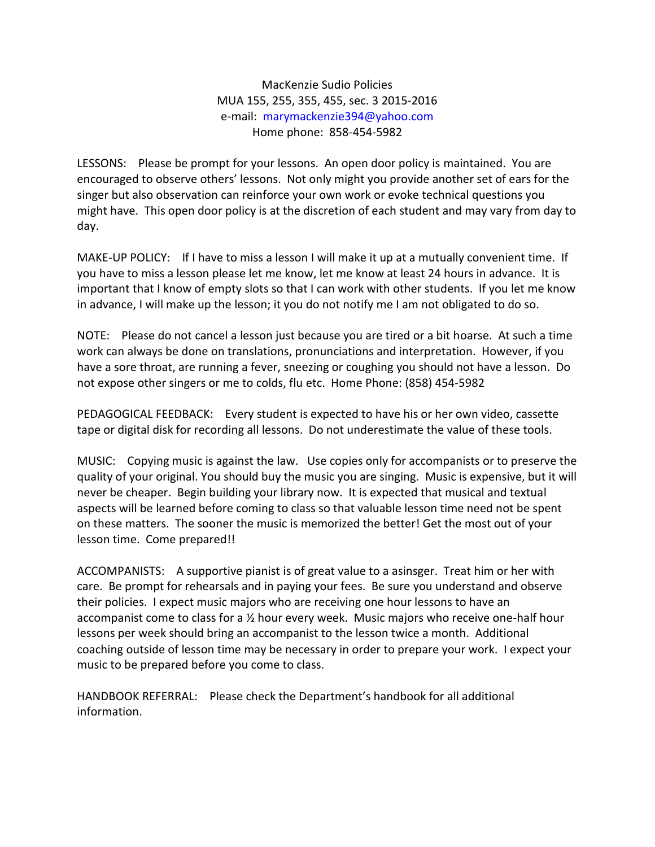MacKenzie Sudio Policies MUA 155, 255, 355, 455, sec. 3 2015-2016 e-mail: [marymackenzie394@yahoo.com](mailto:marymackenzie394@yahoo.com) Home phone: 858-454-5982

LESSONS: Please be prompt for your lessons. An open door policy is maintained. You are encouraged to observe others' lessons. Not only might you provide another set of ears for the singer but also observation can reinforce your own work or evoke technical questions you might have. This open door policy is at the discretion of each student and may vary from day to day.

MAKE-UP POLICY: If I have to miss a lesson I will make it up at a mutually convenient time. If you have to miss a lesson please let me know, let me know at least 24 hours in advance. It is important that I know of empty slots so that I can work with other students. If you let me know in advance, I will make up the lesson; it you do not notify me I am not obligated to do so.

NOTE: Please do not cancel a lesson just because you are tired or a bit hoarse. At such a time work can always be done on translations, pronunciations and interpretation. However, if you have a sore throat, are running a fever, sneezing or coughing you should not have a lesson. Do not expose other singers or me to colds, flu etc. Home Phone: (858) 454-5982

PEDAGOGICAL FEEDBACK: Every student is expected to have his or her own video, cassette tape or digital disk for recording all lessons. Do not underestimate the value of these tools.

MUSIC: Copying music is against the law. Use copies only for accompanists or to preserve the quality of your original. You should buy the music you are singing. Music is expensive, but it will never be cheaper. Begin building your library now. It is expected that musical and textual aspects will be learned before coming to class so that valuable lesson time need not be spent on these matters. The sooner the music is memorized the better! Get the most out of your lesson time. Come prepared!!

ACCOMPANISTS: A supportive pianist is of great value to a asinsger. Treat him or her with care. Be prompt for rehearsals and in paying your fees. Be sure you understand and observe their policies. I expect music majors who are receiving one hour lessons to have an accompanist come to class for a ½ hour every week. Music majors who receive one-half hour lessons per week should bring an accompanist to the lesson twice a month. Additional coaching outside of lesson time may be necessary in order to prepare your work. I expect your music to be prepared before you come to class.

HANDBOOK REFERRAL: Please check the Department's handbook for all additional information.